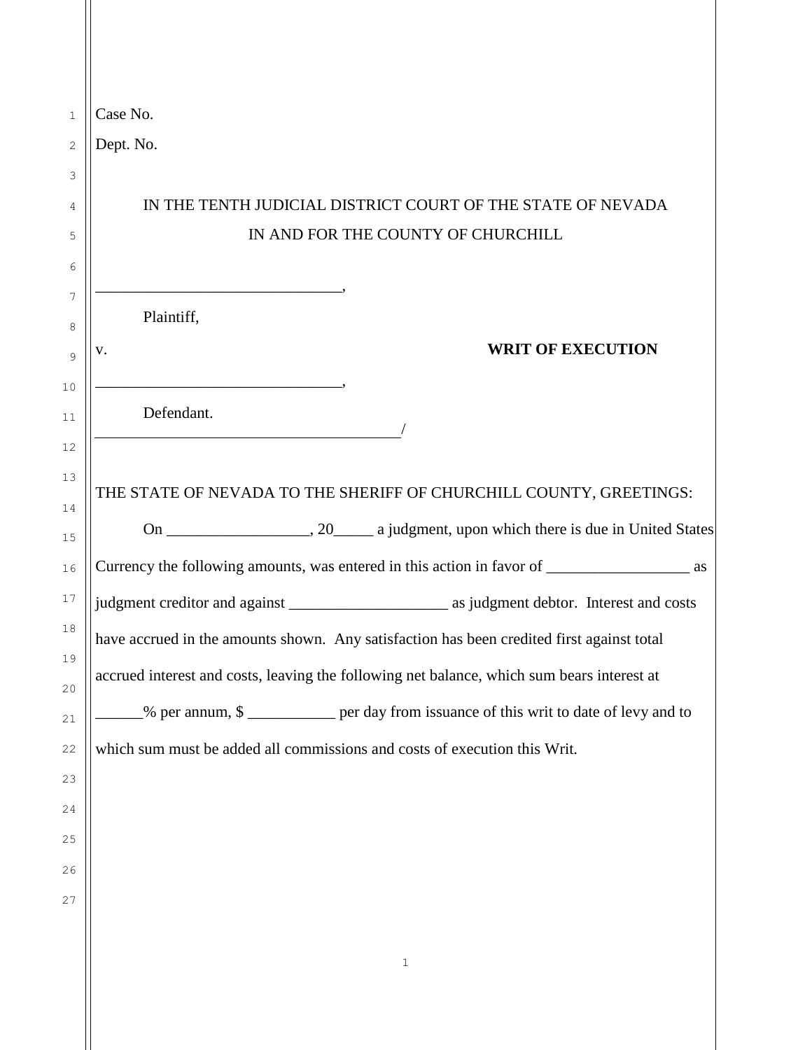| Case No.   |                                                                                                  |
|------------|--------------------------------------------------------------------------------------------------|
| Dept. No.  |                                                                                                  |
|            |                                                                                                  |
|            | IN THE TENTH JUDICIAL DISTRICT COURT OF THE STATE OF NEVADA                                      |
|            | IN AND FOR THE COUNTY OF CHURCHILL                                                               |
|            |                                                                                                  |
| Plaintiff, |                                                                                                  |
| V.         | <b>WRIT OF EXECUTION</b>                                                                         |
|            |                                                                                                  |
| Defendant. |                                                                                                  |
|            |                                                                                                  |
|            | THE STATE OF NEVADA TO THE SHERIFF OF CHURCHILL COUNTY, GREETINGS:                               |
|            |                                                                                                  |
|            | Currency the following amounts, was entered in this action in favor of ______________________ as |
|            |                                                                                                  |
|            |                                                                                                  |
|            | have accrued in the amounts shown. Any satisfaction has been credited first against total        |
|            |                                                                                                  |
|            | accrued interest and costs, leaving the following net balance, which sum bears interest at       |
|            | % per annum, \$                                                                                  |
|            | which sum must be added all commissions and costs of execution this Writ.                        |
|            |                                                                                                  |
|            |                                                                                                  |
|            |                                                                                                  |
|            |                                                                                                  |
|            |                                                                                                  |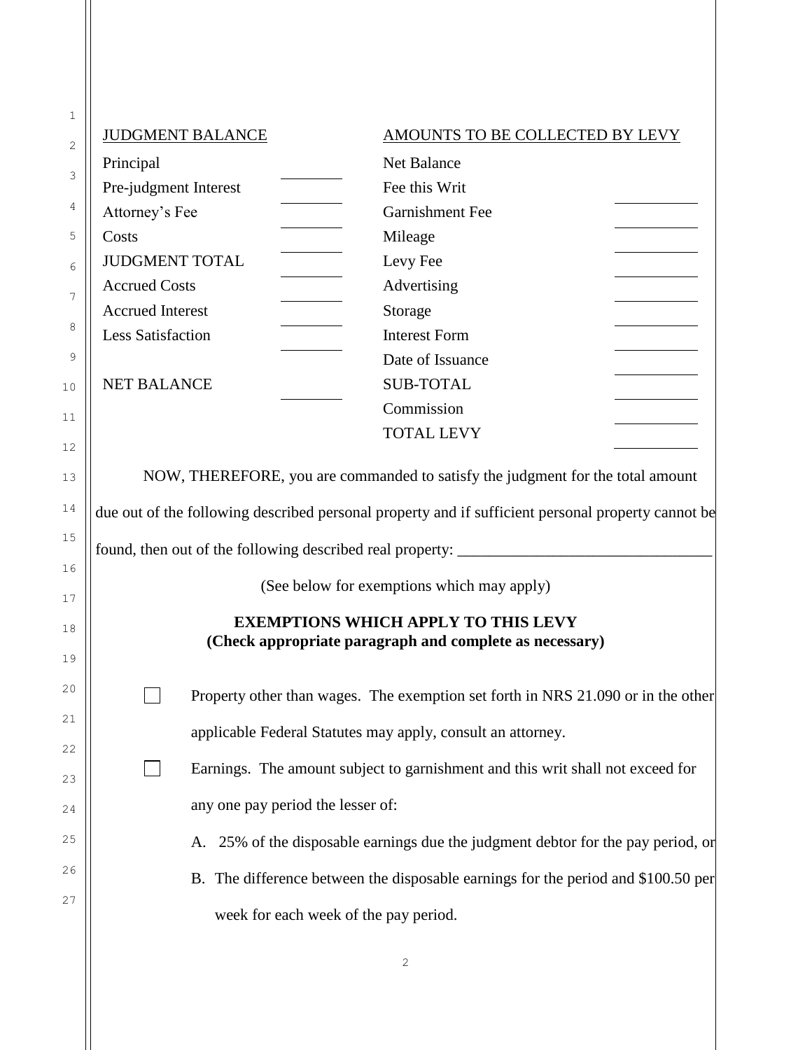| 1  | <b>JUDGMENT BALANCE</b>                                                                               |                                 |  |  |  |
|----|-------------------------------------------------------------------------------------------------------|---------------------------------|--|--|--|
| 2  |                                                                                                       | AMOUNTS TO BE COLLECTED BY LEVY |  |  |  |
|    | Principal                                                                                             | Net Balance                     |  |  |  |
| 3  | Pre-judgment Interest                                                                                 | Fee this Writ                   |  |  |  |
| 4  | Attorney's Fee                                                                                        | Garnishment Fee                 |  |  |  |
| 5  | Costs                                                                                                 | Mileage                         |  |  |  |
| 6  | <b>JUDGMENT TOTAL</b>                                                                                 | Levy Fee                        |  |  |  |
| 7  | <b>Accrued Costs</b>                                                                                  | Advertising                     |  |  |  |
|    | <b>Accrued Interest</b>                                                                               | Storage                         |  |  |  |
| 8  | <b>Less Satisfaction</b>                                                                              | <b>Interest Form</b>            |  |  |  |
| 9  |                                                                                                       | Date of Issuance                |  |  |  |
| 10 | <b>NET BALANCE</b>                                                                                    | <b>SUB-TOTAL</b>                |  |  |  |
| 11 |                                                                                                       | Commission                      |  |  |  |
| 12 |                                                                                                       | <b>TOTAL LEVY</b>               |  |  |  |
| 13 | NOW, THEREFORE, you are commanded to satisfy the judgment for the total amount                        |                                 |  |  |  |
| 14 | due out of the following described personal property and if sufficient personal property cannot be    |                                 |  |  |  |
| 15 |                                                                                                       |                                 |  |  |  |
| 16 | (See below for exemptions which may apply)                                                            |                                 |  |  |  |
| 17 |                                                                                                       |                                 |  |  |  |
| 18 | <b>EXEMPTIONS WHICH APPLY TO THIS LEVY</b><br>(Check appropriate paragraph and complete as necessary) |                                 |  |  |  |
| 19 |                                                                                                       |                                 |  |  |  |
| 20 | Property other than wages. The exemption set forth in NRS 21.090 or in the other                      |                                 |  |  |  |
| 21 | applicable Federal Statutes may apply, consult an attorney.                                           |                                 |  |  |  |
| 22 | Earnings. The amount subject to garnishment and this writ shall not exceed for                        |                                 |  |  |  |
| 23 |                                                                                                       |                                 |  |  |  |
| 24 | any one pay period the lesser of:                                                                     |                                 |  |  |  |
| 25 | A. 25% of the disposable earnings due the judgment debtor for the pay period, or                      |                                 |  |  |  |
| 26 | B. The difference between the disposable earnings for the period and \$100.50 per                     |                                 |  |  |  |
| 27 | week for each week of the pay period.                                                                 |                                 |  |  |  |

2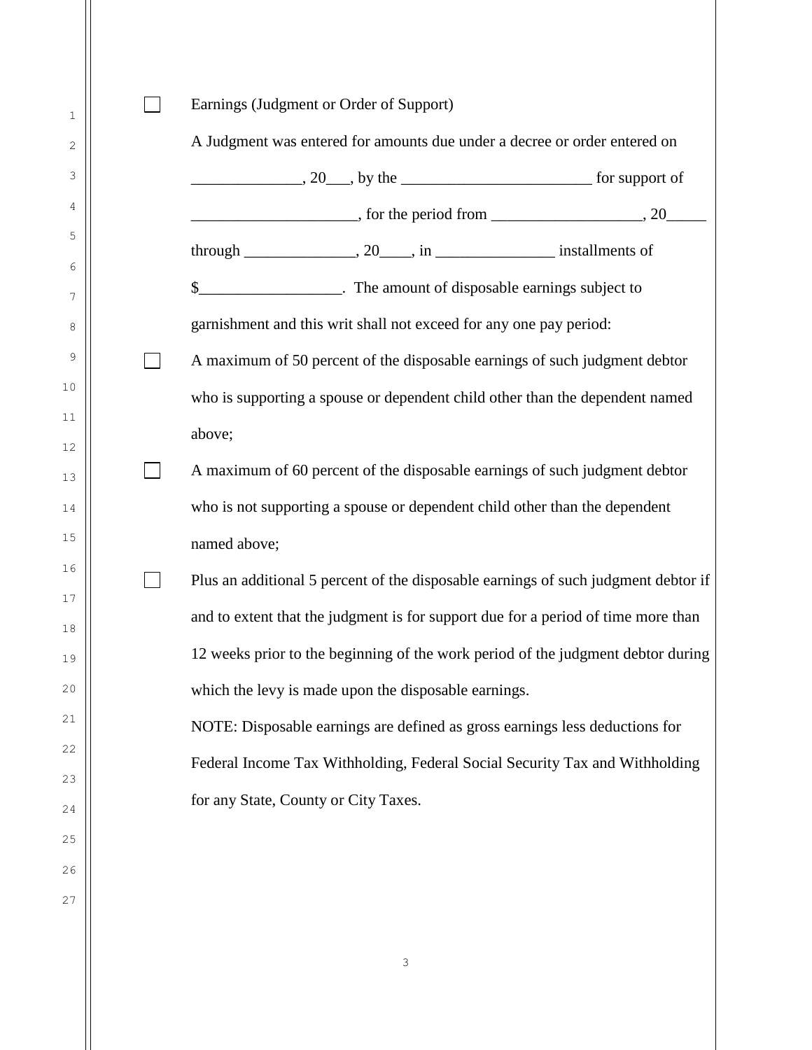$\Box$ Earnings (Judgment or Order of Support) A Judgment was entered for amounts due under a decree or order entered on  $\sim 20$ , by the support of  $\blacksquare$ , for the period from  $\blacksquare$ , 20 $\blacksquare$ through  $\frac{1}{20}$ , 20  $\frac{1}{20}$ , in  $\frac{1}{20}$  installments of \$\_\_\_\_\_\_\_\_\_\_\_\_\_\_\_\_\_\_. The amount of disposable earnings subject to garnishment and this writ shall not exceed for any one pay period:  $\Box$ A maximum of 50 percent of the disposable earnings of such judgment debtor who is supporting a spouse or dependent child other than the dependent named above;  $\Box$ A maximum of 60 percent of the disposable earnings of such judgment debtor who is not supporting a spouse or dependent child other than the dependent named above;  $\Box$ Plus an additional 5 percent of the disposable earnings of such judgment debtor if and to extent that the judgment is for support due for a period of time more than 12 weeks prior to the beginning of the work period of the judgment debtor during which the levy is made upon the disposable earnings. NOTE: Disposable earnings are defined as gross earnings less deductions for Federal Income Tax Withholding, Federal Social Security Tax and Withholding for any State, County or City Taxes.

1

2

3

4

5

6

7

8

9

10

11

12

13

14

15

16

17

18

19

20

21

22

23

24

25

26

27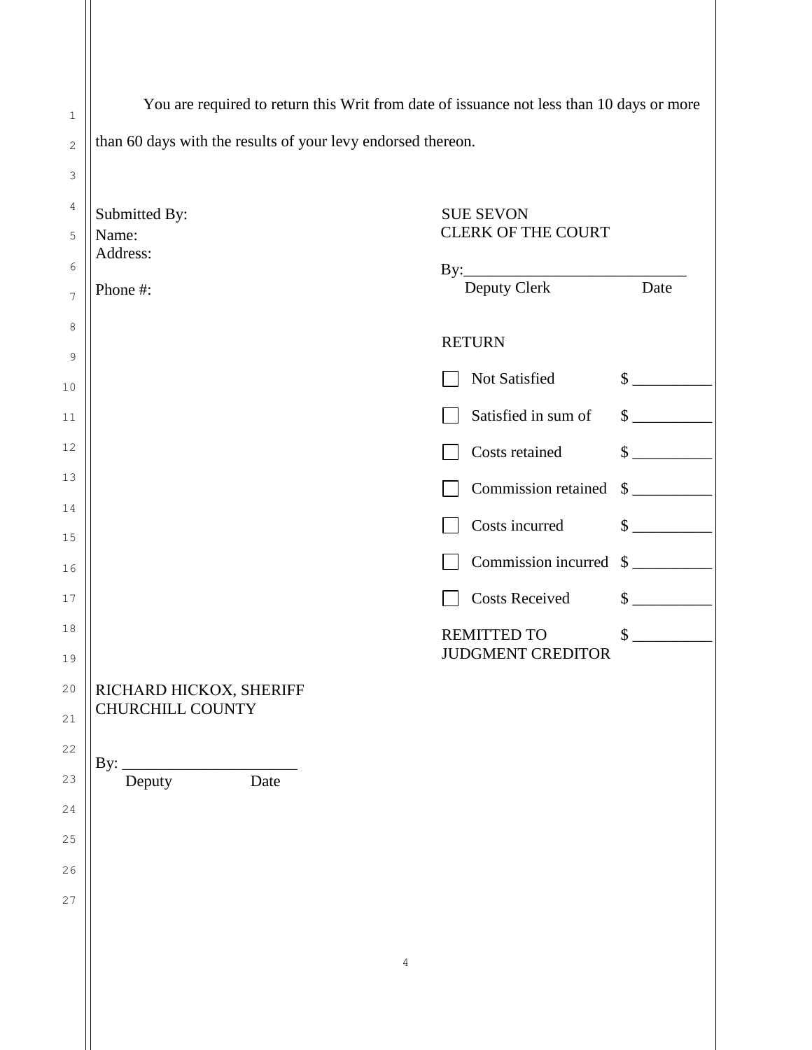| $\mathbf{1}$   | You are required to return this Writ from date of issuance not less than 10 days or more |                                         |                             |  |  |
|----------------|------------------------------------------------------------------------------------------|-----------------------------------------|-----------------------------|--|--|
| $\overline{c}$ | than 60 days with the results of your levy endorsed thereon.                             |                                         |                             |  |  |
| 3              |                                                                                          |                                         |                             |  |  |
| 4              | Submitted By:                                                                            | <b>SUE SEVON</b>                        |                             |  |  |
| 5              | Name:<br>Address:                                                                        | <b>CLERK OF THE COURT</b>               |                             |  |  |
| 6              |                                                                                          | By: Deputy Clerk Date                   |                             |  |  |
| $\overline{7}$ | Phone #:                                                                                 |                                         |                             |  |  |
| 8<br>9         |                                                                                          | <b>RETURN</b>                           |                             |  |  |
| 10             |                                                                                          | Not Satisfied                           | $\frac{\text{S}}{\text{S}}$ |  |  |
| 11             |                                                                                          | Satisfied in sum of                     | $\frac{\text{S}}{\text{S}}$ |  |  |
| 12             |                                                                                          | Costs retained                          | $\frac{\sqrt{2}}{2}$        |  |  |
| 13             |                                                                                          | Commission retained                     | $\frac{\text{S}}{\text{S}}$ |  |  |
| 14<br>15       |                                                                                          | Costs incurred                          | $\frac{\text{S}}{\text{S}}$ |  |  |
| 16             |                                                                                          | Commission incurred                     | $\frac{1}{2}$               |  |  |
| 17             |                                                                                          | <b>Costs Received</b>                   | $\frac{\text{S}}{\text{S}}$ |  |  |
| 18             |                                                                                          | REMITTED TO<br><b>JUDGMENT CREDITOR</b> | \$<br><u>and a straight</u> |  |  |
| 19             |                                                                                          |                                         |                             |  |  |
| 20<br>21       | RICHARD HICKOX, SHERIFF<br><b>CHURCHILL COUNTY</b>                                       |                                         |                             |  |  |
| 22             |                                                                                          |                                         |                             |  |  |
| 23             | By:<br>Deputy<br>Date                                                                    |                                         |                             |  |  |
| 24             |                                                                                          |                                         |                             |  |  |
| 25             |                                                                                          |                                         |                             |  |  |
| 26             |                                                                                          |                                         |                             |  |  |
| 27             |                                                                                          |                                         |                             |  |  |
|                |                                                                                          |                                         |                             |  |  |
|                | 4                                                                                        |                                         |                             |  |  |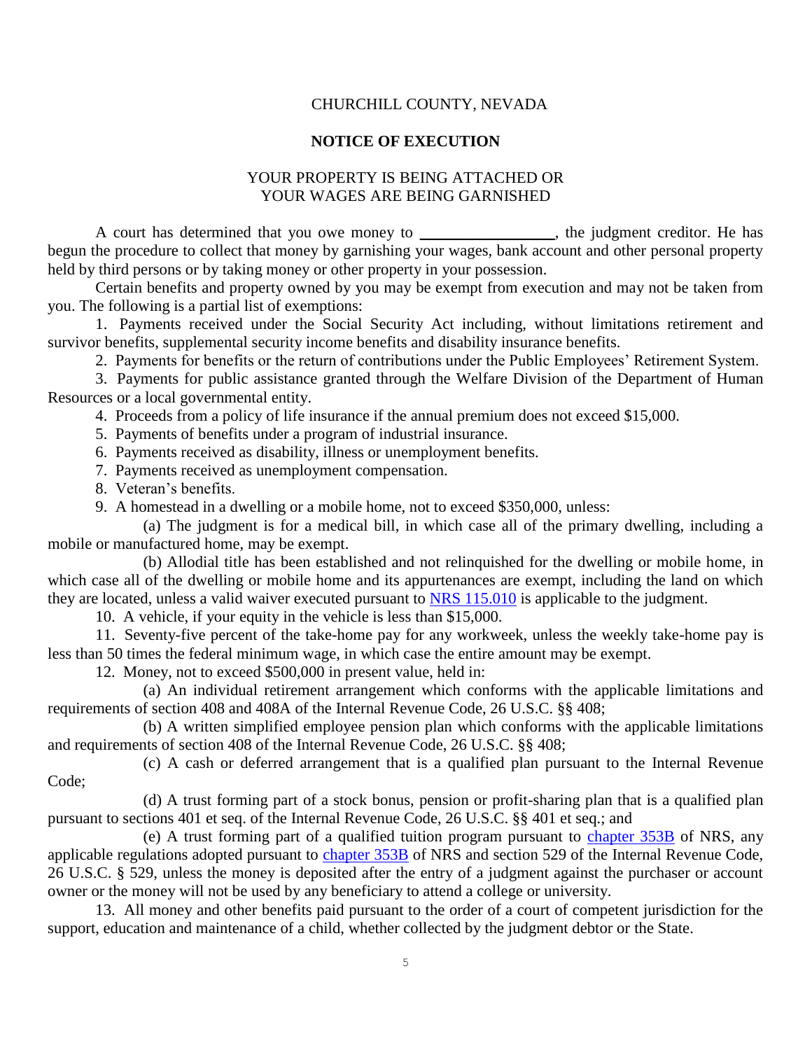## CHURCHILL COUNTY, NEVADA

## **NOTICE OF EXECUTION**

## YOUR PROPERTY IS BEING ATTACHED OR YOUR WAGES ARE BEING GARNISHED

A court has determined that you owe money to \_\_\_\_\_\_\_\_\_\_\_\_\_\_, the judgment creditor. He has begun the procedure to collect that money by garnishing your wages, bank account and other personal property held by third persons or by taking money or other property in your possession.

Certain benefits and property owned by you may be exempt from execution and may not be taken from you. The following is a partial list of exemptions:

 1. Payments received under the Social Security Act including, without limitations retirement and survivor benefits, supplemental security income benefits and disability insurance benefits.

2. Payments for benefits or the return of contributions under the Public Employees' Retirement System.

 3. Payments for public assistance granted through the Welfare Division of the Department of Human Resources or a local governmental entity.

4. Proceeds from a policy of life insurance if the annual premium does not exceed \$15,000.

5. Payments of benefits under a program of industrial insurance.

6. Payments received as disability, illness or unemployment benefits.

7. Payments received as unemployment compensation.

8. Veteran's benefits.

9. A homestead in a dwelling or a mobile home, not to exceed \$350,000, unless:

 (a) The judgment is for a medical bill, in which case all of the primary dwelling, including a mobile or manufactured home, may be exempt.

 (b) Allodial title has been established and not relinquished for the dwelling or mobile home, in which case all of the dwelling or mobile home and its appurtenances are exempt, including the land on which they are located, unless a valid waiver executed pursuant to [NRS 115.010](http://www.leg.state.nv.us/NRS/NRS-115.html#NRS115Sec010) is applicable to the judgment.

10. A vehicle, if your equity in the vehicle is less than \$15,000.

 11. Seventy-five percent of the take-home pay for any workweek, unless the weekly take-home pay is less than 50 times the federal minimum wage, in which case the entire amount may be exempt.

12. Money, not to exceed \$500,000 in present value, held in:

 (a) An individual retirement arrangement which conforms with the applicable limitations and requirements of section 408 and 408A of the Internal Revenue Code, 26 U.S.C. §§ 408;

 (b) A written simplified employee pension plan which conforms with the applicable limitations and requirements of section 408 of the Internal Revenue Code, 26 U.S.C. §§ 408;

 (c) A cash or deferred arrangement that is a qualified plan pursuant to the Internal Revenue Code;

(d) A trust forming part of a stock bonus, pension or profit-sharing plan that is a qualified plan pursuant to sections 401 et seq. of the Internal Revenue Code, 26 U.S.C. §§ 401 et seq.; and

 (e) A trust forming part of a qualified tuition program pursuant to [chapter 353B](http://www.leg.state.nv.us/NRS/NRS-353B.html#NRS353B) of NRS, any applicable regulations adopted pursuant to [chapter 353B](http://www.leg.state.nv.us/NRS/NRS-353B.html#NRS353B) of NRS and section 529 of the Internal Revenue Code, 26 U.S.C. § 529, unless the money is deposited after the entry of a judgment against the purchaser or account owner or the money will not be used by any beneficiary to attend a college or university.

13. All money and other benefits paid pursuant to the order of a court of competent jurisdiction for the support, education and maintenance of a child, whether collected by the judgment debtor or the State.